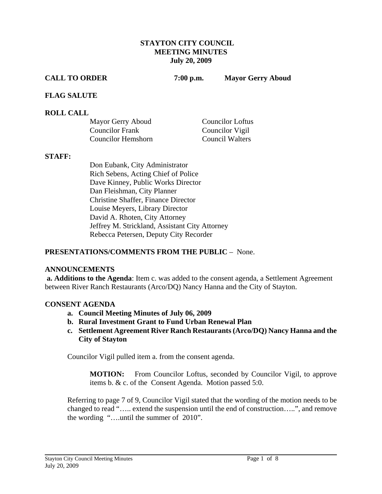#### **STAYTON CITY COUNCIL MEETING MINUTES July 20, 2009**

**CALL TO ORDER 7:00 p.m. Mayor Gerry Aboud** 

## **FLAG SALUTE**

## **ROLL CALL**

| Mayor Gerry Aboud      | <b>Councilor Loftus</b> |
|------------------------|-------------------------|
| <b>Councilor Frank</b> | Councilor Vigil         |
| Councilor Hemshorn     | <b>Council Walters</b>  |

#### **STAFF:**

Don Eubank, City Administrator Rich Sebens, Acting Chief of Police Dave Kinney, Public Works Director Dan Fleishman, City Planner Christine Shaffer, Finance Director Louise Meyers, Library Director David A. Rhoten, City Attorney Jeffrey M. Strickland, Assistant City Attorney Rebecca Petersen, Deputy City Recorder

## **PRESENTATIONS/COMMENTS FROM THE PUBLIC** – None.

## **ANNOUNCEMENTS**

 **a. Additions to the Agenda**: Item c. was added to the consent agenda, a Settlement Agreement between River Ranch Restaurants (Arco/DQ) Nancy Hanna and the City of Stayton.

## **CONSENT AGENDA**

- **a. Council Meeting Minutes of July 06, 2009**
- **b. Rural Investment Grant to Fund Urban Renewal Plan**
- **c. Settlement Agreement River Ranch Restaurants (Arco/DQ) Nancy Hanna and the City of Stayton**

Councilor Vigil pulled item a. from the consent agenda.

 **MOTION:** From Councilor Loftus, seconded by Councilor Vigil, to approve items b. & c. of the Consent Agenda. Motion passed 5:0.

 Referring to page 7 of 9, Councilor Vigil stated that the wording of the motion needs to be changed to read "….. extend the suspension until the end of construction…..", and remove the wording "….until the summer of 2010".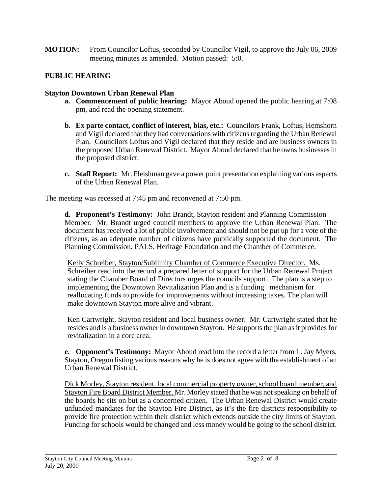**MOTION:** From Councilor Loftus, seconded by Councilor Vigil, to approve the July 06, 2009 meeting minutes as amended. Motion passed: 5:0.

# **PUBLIC HEARING**

# **Stayton Downtown Urban Renewal Plan**

- **a. Commencement of public hearing:** Mayor Aboud opened the public hearing at 7:08 pm, and read the opening statement.
- **b. Ex parte contact, conflict of interest, bias, etc.:** Councilors Frank, Loftus, Hemshorn and Vigil declared that they had conversations with citizens regarding the Urban Renewal Plan. Councilors Loftus and Vigil declared that they reside and are business owners in the proposed Urban Renewal District. Mayor Aboud declared that he owns businesses in the proposed district.
- **c. Staff Report:** Mr. Fleishman gave a power point presentation explaining various aspects of the Urban Renewal Plan.

The meeting was recessed at 7:45 pm and reconvened at 7:50 pm.

**d. Proponent's Testimony:** John Brandt, Stayton resident and Planning Commission Member. Mr. Brandt urged council members to approve the Urban Renewal Plan. The document has received a lot of public involvement and should not be put up for a vote of the citizens, as an adequate number of citizens have publically supported the document. The Planning Commission, PALS, Heritage Foundation and the Chamber of Commerce.

Kelly Schreiber, Stayton/Sublimity Chamber of Commerce Executive Director. Ms. Schreiber read into the record a prepared letter of support for the Urban Renewal Project stating the Chamber Board of Directors urges the councils support. The plan is a step to implementing the Downtown Revitalization Plan and is a funding mechanism for reallocating funds to provide for improvements without increasing taxes. The plan will make downtown Stayton more alive and vibrant.

Ken Cartwright, Stayton resident and local business owner. Mr. Cartwright stated that he resides and is a business owner in downtown Stayton. He supports the plan as it provides for revitalization in a core area.

**e. Opponent's Testimony:** Mayor Aboud read into the record a letter from L. Jay Myers, Stayton, Oregon listing various reasons why he is does not agree with the establishment of an Urban Renewal District.

Dick Morley, Stayton resident, local commercial property owner, school board member, and Stayton Fire Board District Member. Mr. Morley stated that he was not speaking on behalf of the boards he sits on but as a concerned citizen. The Urban Renewal District would create unfunded mandates for the Stayton Fire District, as it's the fire districts responsibility to provide fire protection within their district which extends outside the city limits of Stayton. Funding for schools would be changed and less money would be going to the school district.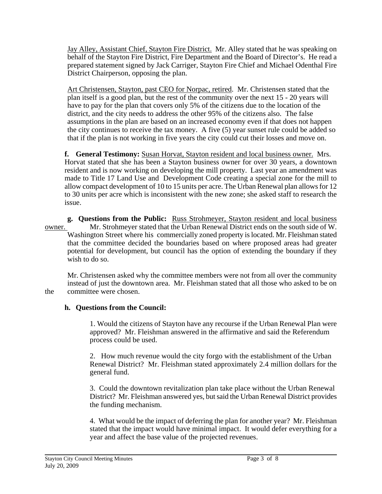Jay Alley, Assistant Chief, Stayton Fire District. Mr. Alley stated that he was speaking on behalf of the Stayton Fire District, Fire Department and the Board of Director's. He read a prepared statement signed by Jack Carriger, Stayton Fire Chief and Michael Odenthal Fire District Chairperson, opposing the plan.

Art Christensen, Stayton, past CEO for Norpac, retired. Mr. Christensen stated that the plan itself is a good plan, but the rest of the community over the next 15 - 20 years will have to pay for the plan that covers only 5% of the citizens due to the location of the district, and the city needs to address the other 95% of the citizens also. The false assumptions in the plan are based on an increased economy even if that does not happen the city continues to receive the tax money. A five (5) year sunset rule could be added so that if the plan is not working in five years the city could cut their losses and move on.

**f. General Testimony:** Susan Horvat, Stayton resident and local business owner. Mrs. Horvat stated that she has been a Stayton business owner for over 30 years, a downtown resident and is now working on developing the mill property. Last year an amendment was made to Title 17 Land Use and Development Code creating a special zone for the mill to allow compact development of 10 to 15 units per acre. The Urban Renewal plan allows for 12 to 30 units per acre which is inconsistent with the new zone; she asked staff to research the issue.

 **g. Questions from the Public:** Russ Strohmeyer, Stayton resident and local business owner. Mr. Strohmeyer stated that the Urban Renewal District ends on the south side of W. Washington Street where his commercially zoned property is located. Mr. Fleishman stated that the committee decided the boundaries based on where proposed areas had greater potential for development, but council has the option of extending the boundary if they wish to do so.

 Mr. Christensen asked why the committee members were not from all over the community instead of just the downtown area. Mr. Fleishman stated that all those who asked to be on the committee were chosen.

# **h. Questions from the Council:**

1. Would the citizens of Stayton have any recourse if the Urban Renewal Plan were approved? Mr. Fleishman answered in the affirmative and said the Referendum process could be used.

2. How much revenue would the city forgo with the establishment of the Urban Renewal District? Mr. Fleishman stated approximately 2.4 million dollars for the general fund.

 3. Could the downtown revitalization plan take place without the Urban Renewal District? Mr. Fleishman answered yes, but said the Urban Renewal District provides the funding mechanism.

 4. What would be the impact of deferring the plan for another year? Mr. Fleishman stated that the impact would have minimal impact. It would defer everything for a year and affect the base value of the projected revenues.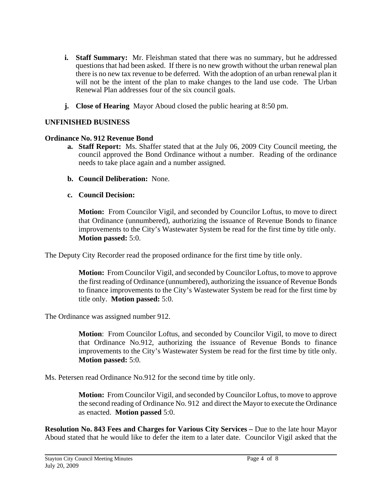- **i. Staff Summary:** Mr. Fleishman stated that there was no summary, but he addressed questions that had been asked. If there is no new growth without the urban renewal plan there is no new tax revenue to be deferred. With the adoption of an urban renewal plan it will not be the intent of the plan to make changes to the land use code. The Urban Renewal Plan addresses four of the six council goals.
- **j. Close of Hearing** Mayor Aboud closed the public hearing at 8:50 pm.

## **UNFINISHED BUSINESS**

## **Ordinance No. 912 Revenue Bond**

- **a. Staff Report:** Ms. Shaffer stated that at the July 06, 2009 City Council meeting, the council approved the Bond Ordinance without a number. Reading of the ordinance needs to take place again and a number assigned.
- **b. Council Deliberation:** None.
- **c. Council Decision:**

**Motion:** From Councilor Vigil, and seconded by Councilor Loftus, to move to direct that Ordinance (unnumbered), authorizing the issuance of Revenue Bonds to finance improvements to the City's Wastewater System be read for the first time by title only. **Motion passed:** 5:0.

The Deputy City Recorder read the proposed ordinance for the first time by title only.

**Motion:** From Councilor Vigil, and seconded by Councilor Loftus, to move to approve the first reading of Ordinance (unnumbered), authorizing the issuance of Revenue Bonds to finance improvements to the City's Wastewater System be read for the first time by title only. **Motion passed:** 5:0.

The Ordinance was assigned number 912.

**Motion**: From Councilor Loftus, and seconded by Councilor Vigil, to move to direct that Ordinance No.912, authorizing the issuance of Revenue Bonds to finance improvements to the City's Wastewater System be read for the first time by title only. **Motion passed:** 5:0.

Ms. Petersen read Ordinance No.912 for the second time by title only.

**Motion:** From Councilor Vigil, and seconded by Councilor Loftus, to move to approve the second reading of Ordinance No. 912 and direct the Mayor to execute the Ordinance as enacted. **Motion passed** 5:0.

**Resolution No. 843 Fees and Charges for Various City Services –** Due to the late hour Mayor Aboud stated that he would like to defer the item to a later date. Councilor Vigil asked that the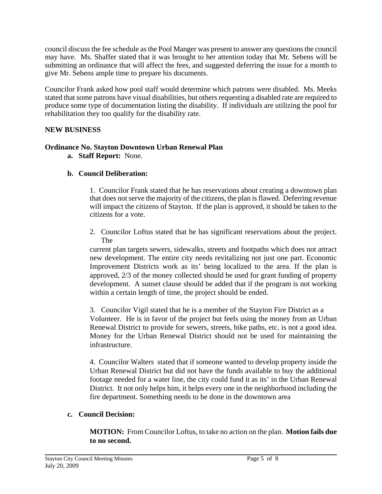council discuss the fee schedule as the Pool Manger was present to answer any questions the council may have. Ms. Shaffer stated that it was brought to her attention today that Mr. Sebens will be submitting an ordinance that will affect the fees, and suggested deferring the issue for a month to give Mr. Sebens ample time to prepare his documents.

Councilor Frank asked how pool staff would determine which patrons were disabled. Ms. Meeks stated that some patrons have visual disabilities, but others requesting a disabled rate are required to produce some type of documentation listing the disability. If individuals are utilizing the pool for rehabilitation they too qualify for the disability rate.

## **NEW BUSINESS**

## **Ordinance No. Stayton Downtown Urban Renewal Plan**

**a. Staff Report:** None.

# **b. Council Deliberation:**

1. Councilor Frank stated that he has reservations about creating a downtown plan that does not serve the majority of the citizens, the plan is flawed. Deferring revenue will impact the citizens of Stayton. If the plan is approved, it should be taken to the citizens for a vote.

2. Councilor Loftus stated that he has significant reservations about the project. The

current plan targets sewers, sidewalks, streets and footpaths which does not attract new development. The entire city needs revitalizing not just one part. Economic Improvement Districts work as its' being localized to the area. If the plan is approved, 2/3 of the money collected should be used for grant funding of property development. A sunset clause should be added that if the program is not working within a certain length of time, the project should be ended.

3. Councilor Vigil stated that he is a member of the Stayton Fire District as a Volunteer. He is in favor of the project but feels using the money from an Urban Renewal District to provide for sewers, streets, bike paths, etc. is not a good idea. Money for the Urban Renewal District should not be used for maintaining the infrastructure.

4. Councilor Walters stated that if someone wanted to develop property inside the Urban Renewal District but did not have the funds available to buy the additional footage needed for a water line, the city could fund it as its' in the Urban Renewal District. It not only helps him, it helps every one in the neighborhood including the fire department. Something needs to be done in the downtown area

## **c. Council Decision:**

 **MOTION:** From Councilor Loftus, to take no action on the plan. **Motion fails due to no second.**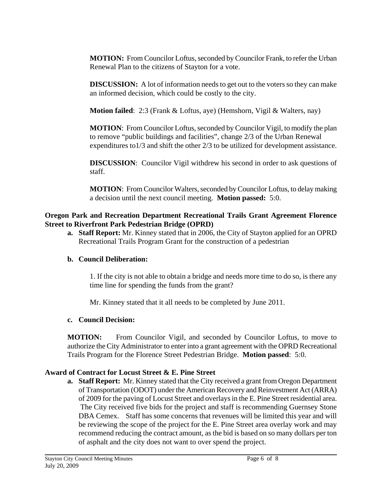**MOTION:** From Councilor Loftus, seconded by Councilor Frank, to refer the Urban Renewal Plan to the citizens of Stayton for a vote.

 **DISCUSSION:** A lot of information needs to get out to the voters so they can make an informed decision, which could be costly to the city.

**Motion failed**: 2:3 (Frank & Loftus, aye) (Hemshorn, Vigil & Walters, nay)

 **MOTION**: From Councilor Loftus, seconded by Councilor Vigil, to modify the plan to remove "public buildings and facilities", change 2/3 of the Urban Renewal expenditures to1/3 and shift the other 2/3 to be utilized for development assistance.

**DISCUSSION:** Councilor Vigil withdrew his second in order to ask questions of staff.

 **MOTION**: From Councilor Walters, seconded by Councilor Loftus, to delay making a decision until the next council meeting. **Motion passed:** 5:0.

# **Oregon Park and Recreation Department Recreational Trails Grant Agreement Florence Street to Riverfront Park Pedestrian Bridge (OPRD)**

**a. Staff Report:** Mr. Kinney stated that in 2006, the City of Stayton applied for an OPRD Recreational Trails Program Grant for the construction of a pedestrian

# **b. Council Deliberation:**

1. If the city is not able to obtain a bridge and needs more time to do so, is there any time line for spending the funds from the grant?

Mr. Kinney stated that it all needs to be completed by June 2011.

# **c. Council Decision:**

**MOTION:** From Councilor Vigil, and seconded by Councilor Loftus, to move to authorize the City Administrator to enter into a grant agreement with the OPRD Recreational Trails Program for the Florence Street Pedestrian Bridge. **Motion passed**: 5:0.

# **Award of Contract for Locust Street & E. Pine Street**

**a. Staff Report:** Mr. Kinney stated that the City received a grant from Oregon Department of Transportation (ODOT) under the American Recovery and Reinvestment Act (ARRA) of 2009 for the paving of Locust Street and overlays in the E. Pine Street residential area. The City received five bids for the project and staff is recommending Guernsey Stone DBA Cemex. Staff has some concerns that revenues will be limited this year and will be reviewing the scope of the project for the E. Pine Street area overlay work and may recommend reducing the contract amount, as the bid is based on so many dollars per ton of asphalt and the city does not want to over spend the project.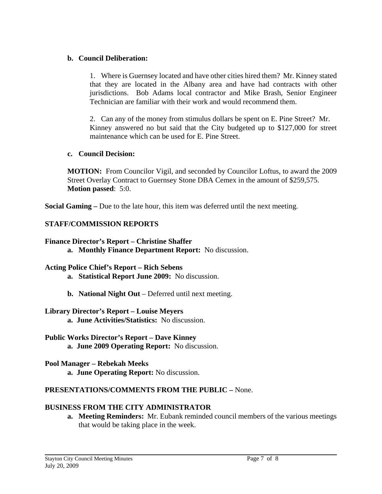## **b. Council Deliberation:**

1. Where is Guernsey located and have other cities hired them? Mr. Kinney stated that they are located in the Albany area and have had contracts with other jurisdictions. Bob Adams local contractor and Mike Brash, Senior Engineer Technician are familiar with their work and would recommend them.

2. Can any of the money from stimulus dollars be spent on E. Pine Street? Mr. Kinney answered no but said that the City budgeted up to \$127,000 for street maintenance which can be used for E. Pine Street.

## **c. Council Decision:**

 **MOTION:** From Councilor Vigil, and seconded by Councilor Loftus, to award the 2009 Street Overlay Contract to Guernsey Stone DBA Cemex in the amount of \$259,575. **Motion passed**: 5:0.

**Social Gaming –** Due to the late hour, this item was deferred until the next meeting.

# **STAFF/COMMISSION REPORTS**

## **Finance Director's Report – Christine Shaffer**

**a. Monthly Finance Department Report:** No discussion.

# **Acting Police Chief's Report – Rich Sebens**

- **a. Statistical Report June 2009:** No discussion.
- **b. National Night Out** Deferred until next meeting.

# **Library Director's Report – Louise Meyers**

 **a. June Activities/Statistics:** No discussion.

# **Public Works Director's Report – Dave Kinney**

 **a. June 2009 Operating Report:** No discussion.

# **Pool Manager – Rebekah Meeks**

 **a. June Operating Report:** No discussion.

# **PRESENTATIONS/COMMENTS FROM THE PUBLIC –** None.

# **BUSINESS FROM THE CITY ADMINISTRATOR**

**a. Meeting Reminders:** Mr. Eubank reminded council members of the various meetings that would be taking place in the week.